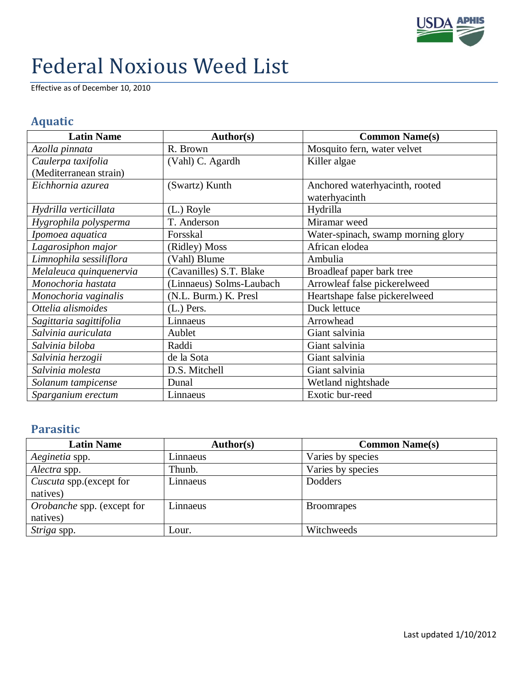

## Federal Noxious Weed List

Effective as of December 10, 2010

## **Aquatic**

| <b>Latin Name</b>       | Author(s)                | <b>Common Name(s)</b>              |
|-------------------------|--------------------------|------------------------------------|
| Azolla pinnata          | R. Brown                 | Mosquito fern, water velvet        |
| Caulerpa taxifolia      | (Vahl) C. Agardh         | Killer algae                       |
| (Mediterranean strain)  |                          |                                    |
| Eichhornia azurea       | (Swartz) Kunth           | Anchored waterhyacinth, rooted     |
|                         |                          | waterhyacinth                      |
| Hydrilla verticillata   | $(L.)$ Royle             | Hydrilla                           |
| Hygrophila polysperma   | T. Anderson              | Miramar weed                       |
| Ipomoea aquatica        | Forsskal                 | Water-spinach, swamp morning glory |
| Lagarosiphon major      | (Ridley) Moss            | African elodea                     |
| Limnophila sessiliflora | (Vahl) Blume             | Ambulia                            |
| Melaleuca quinquenervia | (Cavanilles) S.T. Blake  | Broadleaf paper bark tree          |
| Monochoria hastata      | (Linnaeus) Solms-Laubach | Arrowleaf false pickerelweed       |
| Monochoria vaginalis    | (N.L. Burm.) K. Presl    | Heartshape false pickerelweed      |
| Ottelia alismoides      | $(L.)$ Pers.             | Duck lettuce                       |
| Sagittaria sagittifolia | Linnaeus                 | Arrowhead                          |
| Salvinia auriculata     | Aublet                   | Giant salvinia                     |
| Salvinia biloba         | Raddi                    | Giant salvinia                     |
| Salvinia herzogii       | de la Sota               | Giant salvinia                     |
| Salvinia molesta        | D.S. Mitchell            | Giant salvinia                     |
| Solanum tampicense      | Dunal                    | Wetland nightshade                 |
| Sparganium erectum      | Linnaeus                 | Exotic bur-reed                    |

## **Parasitic**

| <b>Latin Name</b>          | <b>Author(s)</b> | <b>Common Name(s)</b> |
|----------------------------|------------------|-----------------------|
| Aeginetia spp.             | Linnaeus         | Varies by species     |
| Alectra spp.               | Thunb.           | Varies by species     |
| Cuscuta spp. (except for   | Linnaeus         | Dodders               |
| natives)                   |                  |                       |
| Orobanche spp. (except for | Linnaeus         | <b>Broomrapes</b>     |
| natives)                   |                  |                       |
| Striga spp.                | Lour.            | Witchweeds            |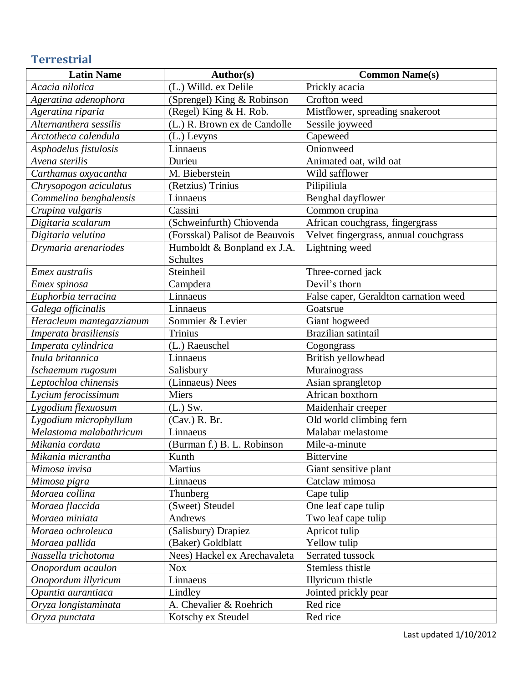## **Terrestrial**

| <b>Latin Name</b>        | Author(s)                      | <b>Common Name(s)</b>                 |
|--------------------------|--------------------------------|---------------------------------------|
| Acacia nilotica          | (L.) Willd. ex Delile          | Prickly acacia                        |
| Ageratina adenophora     | (Sprengel) King & Robinson     | Crofton weed                          |
| Ageratina riparia        | (Regel) King & H. Rob.         | Mistflower, spreading snakeroot       |
| Alternanthera sessilis   | (L.) R. Brown ex de Candolle   | Sessile joyweed                       |
| Arctotheca calendula     | (L.) Levyns                    | Capeweed                              |
| Asphodelus fistulosis    | Linnaeus                       | Onionweed                             |
| Avena sterilis           | Durieu                         | Animated oat, wild oat                |
| Carthamus oxyacantha     | M. Bieberstein                 | Wild safflower                        |
| Chrysopogon aciculatus   | (Retzius) Trinius              | Pilipiliula                           |
| Commelina benghalensis   | Linnaeus                       | Benghal dayflower                     |
| Crupina vulgaris         | Cassini                        | Common crupina                        |
| Digitaria scalarum       | (Schweinfurth) Chiovenda       | African couchgrass, fingergrass       |
| Digitaria velutina       | (Forsskal) Palisot de Beauvois | Velvet fingergrass, annual couchgrass |
| Drymaria arenariodes     | Humboldt & Bonpland ex J.A.    | Lightning weed                        |
|                          | Schultes                       |                                       |
| Emex australis           | Steinheil                      | Three-corned jack                     |
| Emex spinosa             | Campdera                       | Devil's thorn                         |
| Euphorbia terracina      | Linnaeus                       | False caper, Geraldton carnation weed |
| Galega officinalis       | Linnaeus                       | Goatsrue                              |
| Heracleum mantegazzianum | Sommier & Levier               | Giant hogweed                         |
| Imperata brasiliensis    | <b>Trinius</b>                 | Brazilian satintail                   |
| Imperata cylindrica      | (L.) Raeuschel                 | Cogongrass                            |
| Inula britannica         | Linnaeus                       | British yellowhead                    |
| Ischaemum rugosum        | Salisbury                      | Murainograss                          |
| Leptochloa chinensis     | (Linnaeus) Nees                | Asian sprangletop                     |
| Lycium ferocissimum      | <b>Miers</b>                   | African boxthorn                      |
| Lygodium flexuosum       | $(L.)$ Sw.                     | Maidenhair creeper                    |
| Lygodium microphyllum    | (Cav.) R. Br.                  | Old world climbing fern               |
| Melastoma malabathricum  | $\overline{\text{Lin}}$ naeus  | Malabar melastome                     |
| Mikania cordata          | (Burman f.) B. L. Robinson     | Mile-a-minute                         |
| Mikania micrantha        | Kunth                          | <b>Bittervine</b>                     |
| Mimosa invisa            | Martius                        | Giant sensitive plant                 |
| Mimosa pigra             | Linnaeus                       | Catclaw mimosa                        |
| Moraea collina           | Thunberg                       | Cape tulip                            |
| Moraea flaccida          | (Sweet) Steudel                | One leaf cape tulip                   |
| Moraea miniata           | Andrews                        | Two leaf cape tulip                   |
| Moraea ochroleuca        | (Salisbury) Drapiez            | Apricot tulip                         |
| Moraea pallida           | (Baker) Goldblatt              | Yellow tulip                          |
| Nassella trichotoma      | Nees) Hackel ex Arechavaleta   | Serrated tussock                      |
| Onopordum acaulon        | <b>Nox</b>                     | Stemless thistle                      |
| Onopordum illyricum      | Linnaeus                       | Illyricum thistle                     |
| Opuntia aurantiaca       | Lindley                        | Jointed prickly pear                  |
| Oryza longistaminata     | A. Chevalier & Roehrich        | Red rice                              |
| Oryza punctata           | Kotschy ex Steudel             | Red rice                              |

Last updated 1/10/2012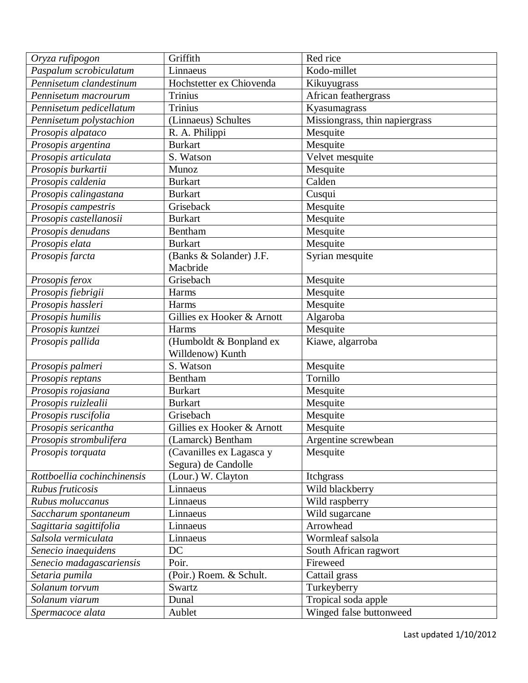| Oryza rufipogon             | Griffith                   | Red rice                       |
|-----------------------------|----------------------------|--------------------------------|
| Paspalum scrobiculatum      | Linnaeus                   | Kodo-millet                    |
| Pennisetum clandestinum     | Hochstetter ex Chiovenda   | Kikuyugrass                    |
| Pennisetum macrourum        | <b>Trinius</b>             | African feathergrass           |
| Pennisetum pedicellatum     | <b>Trinius</b>             | Kyasumagrass                   |
| Pennisetum polystachion     | (Linnaeus) Schultes        | Missiongrass, thin napiergrass |
| Prosopis alpataco           | R. A. Philippi             | Mesquite                       |
| Prosopis argentina          | <b>Burkart</b>             | Mesquite                       |
| Prosopis articulata         | S. Watson                  | Velvet mesquite                |
| Prosopis burkartii          | Munoz                      | Mesquite                       |
| Prosopis caldenia           | <b>Burkart</b>             | Calden                         |
| Prosopis calingastana       | <b>Burkart</b>             | Cusqui                         |
| Prosopis campestris         | Griseback                  | Mesquite                       |
| Prosopis castellanosii      | <b>Burkart</b>             | Mesquite                       |
| Prosopis denudans           | Bentham                    | Mesquite                       |
| Prosopis elata              | <b>Burkart</b>             | Mesquite                       |
| Prosopis farcta             | (Banks & Solander) J.F.    | Syrian mesquite                |
|                             | Macbride                   |                                |
| Prosopis ferox              | Grisebach                  | Mesquite                       |
| Prosopis fiebrigii          | Harms                      | Mesquite                       |
| Prosopis hassleri           | Harms                      | Mesquite                       |
| Prosopis humilis            | Gillies ex Hooker & Arnott | Algaroba                       |
| Prosopis kuntzei            | Harms                      | Mesquite                       |
| Prosopis pallida            | (Humboldt & Bonpland ex    | Kiawe, algarroba               |
|                             | Willdenow) Kunth           |                                |
| Prosopis palmeri            | S. Watson                  | Mesquite                       |
| Prosopis reptans            | Bentham                    | Tornillo                       |
| Prosopis rojasiana          | <b>Burkart</b>             | Mesquite                       |
| Prosopis ruizlealii         | <b>Burkart</b>             | Mesquite                       |
| Prosopis ruscifolia         | Grisebach                  | Mesquite                       |
| Prosopis sericantha         | Gillies ex Hooker & Arnott | Mesquite                       |
| Prosopis strombulifera      | (Lamarck) Bentham          | Argentine screwbean            |
| Prosopis torquata           | (Cavanilles ex Lagasca y   | Mesquite                       |
|                             | Segura) de Candolle        |                                |
| Rottboellia cochinchinensis | (Lour.) W. Clayton         | Itchgrass                      |
| Rubus fruticosis            | Linnaeus                   | Wild blackberry                |
| Rubus moluccanus            | Linnaeus                   | Wild raspberry                 |
| Saccharum spontaneum        | Linnaeus                   | Wild sugarcane                 |
| Sagittaria sagittifolia     | Linnaeus                   | Arrowhead                      |
| Salsola vermiculata         | Linnaeus                   | Wormleaf salsola               |
| Senecio inaequidens         | DC                         | South African ragwort          |
| Senecio madagascariensis    | Poir.                      | Fireweed                       |
| Setaria pumila              | (Poir.) Roem. & Schult.    | Cattail grass                  |
| Solanum torvum              | Swartz                     | Turkeyberry                    |
| Solanum viarum              | Dunal                      | Tropical soda apple            |
| Spermacoce alata            | Aublet                     | Winged false buttonweed        |